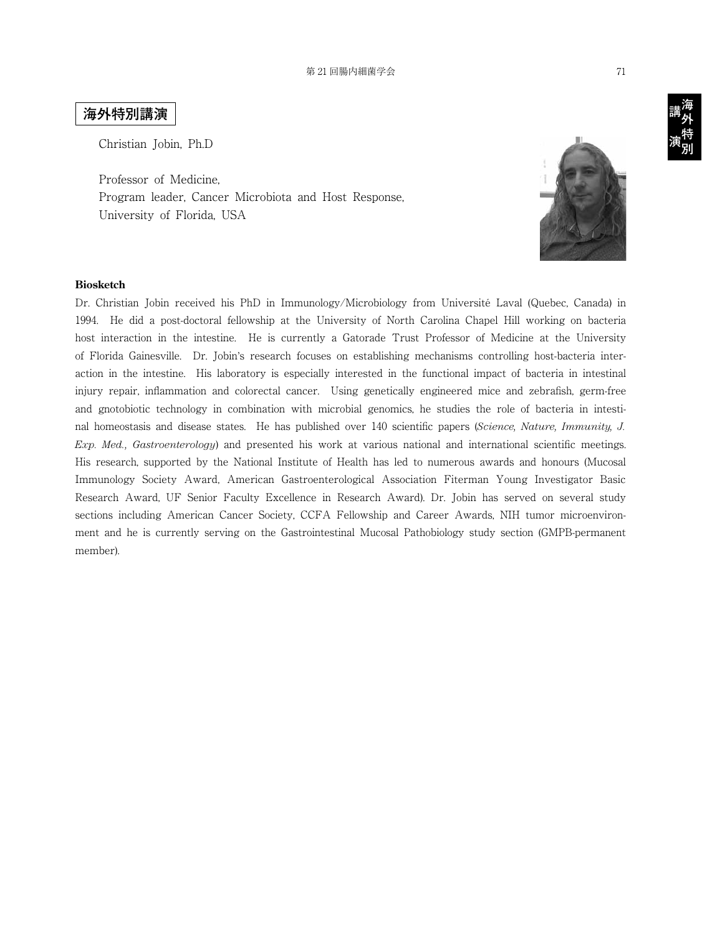## **海外特別講演**

Christian Jobin, Ph.D

Professor of Medicine, Program leader, Cancer Microbiota and Host Response, University of Florida, USA



## **Biosketch**

Dr. Christian Jobin received his PhD in Immunology/Microbiology from Université Laval (Quebec, Canada) in 1994. He did a post-doctoral fellowship at the University of North Carolina Chapel Hill working on bacteria host interaction in the intestine. He is currently a Gatorade Trust Professor of Medicine at the University of Florida Gainesville. Dr. Jobin's research focuses on establishing mechanisms controlling host-bacteria interaction in the intestine. His laboratory is especially interested in the functional impact of bacteria in intestinal injury repair, inflammation and colorectal cancer. Using genetically engineered mice and zebrafish, germ-free and gnotobiotic technology in combination with microbial genomics, he studies the role of bacteria in intestinal homeostasis and disease states. He has published over 140 scientific papers (*Science, Nature, Immunity, J. Exp. Med., Gastroenterology*) and presented his work at various national and international scientific meetings. His research, supported by the National Institute of Health has led to numerous awards and honours (Mucosal Immunology Society Award, American Gastroenterological Association Fiterman Young Investigator Basic Research Award, UF Senior Faculty Excellence in Research Award). Dr. Jobin has served on several study sections including American Cancer Society, CCFA Fellowship and Career Awards, NIH tumor microenvironment and he is currently serving on the Gastrointestinal Mucosal Pathobiology study section (GMPB-permanent member).